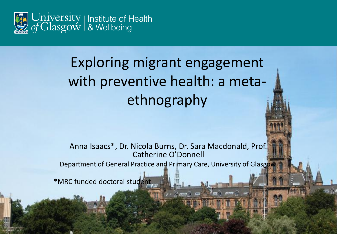

# Exploring migrant engagement with preventive health: a metaethnography

Anna Isaacs\*, Dr. Nicola Burns, Dr. Sara Macdonald, Prof. Catherine O'Donnell

Department of General Practice and Primary Care, University of Glasgow.

**RUNO** 

\*MRC funded doctoral student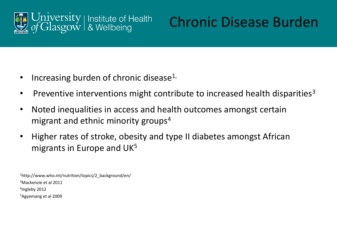

## Chronic Disease Burden

- Increasing burden of chronic disease<sup>1,</sup>
- Preventive interventions might contribute to increased health disparities<sup>3</sup>
- Noted inequalities in access and health outcomes amongst certain migrant and ethnic minority groups<sup>4</sup>
- Higher rates of stroke, obesity and type II diabetes amongst African migrants in Europe and UK<sup>5</sup>

http://www.who.int/nutrition/topics/2\_background/en/ Mackenzie et al 2011 Ingleby 2012 Agyemang et al 2009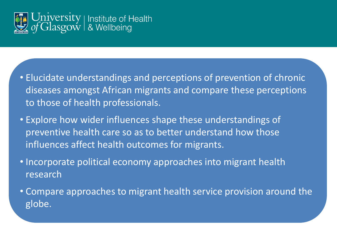

- Elucidate understandings and perceptions of prevention of chronic diseases amongst African migrants and compare these perceptions to those of health professionals.
- Explore how wider influences shape these understandings of preventive health care so as to better understand how those influences affect health outcomes for migrants.
- Incorporate political economy approaches into migrant health research
- Compare approaches to migrant health service provision around the globe.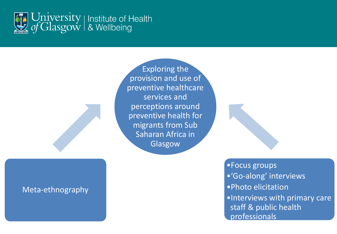

Meta-ethnography

Exploring the provision and use of preventive healthcare services and perceptions around preventive health for migrants from Sub Saharan Africa in Glasgow

> •Focus groups •'Go-along' interviews •Photo elicitation •Interviews with primary care staff & public health professionals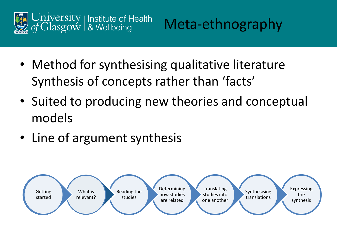



- Method for synthesising qualitative literature Synthesis of concepts rather than 'facts'
- Suited to producing new theories and conceptual models
- Line of argument synthesis

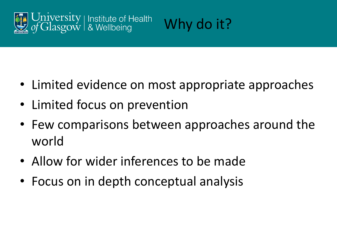



- Limited evidence on most appropriate approaches
- Limited focus on prevention
- Few comparisons between approaches around the world
- Allow for wider inferences to be made
- Focus on in depth conceptual analysis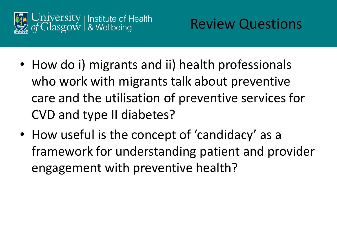

- How do i) migrants and ii) health professionals who work with migrants talk about preventive care and the utilisation of preventive services for CVD and type II diabetes?
- How useful is the concept of 'candidacy' as a framework for understanding patient and provider engagement with preventive health?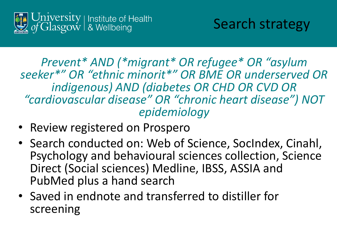

*Prevent\* AND (\*migrant\* OR refugee\* OR "asylum seeker\*" OR "ethnic minorit\*" OR BME OR underserved OR indigenous) AND (diabetes OR CHD OR CVD OR "cardiovascular disease" OR "chronic heart disease") NOT epidemiology*

- Review registered on Prospero
- Search conducted on: Web of Science, SocIndex, Cinahl, Psychology and behavioural sciences collection, Science Direct (Social sciences) Medline, IBSS, ASSIA and PubMed plus a hand search
- Saved in endnote and transferred to distiller for screening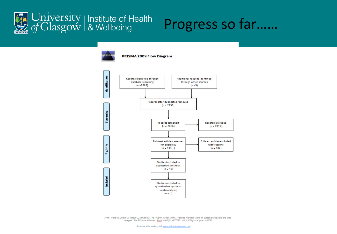

### Progress so far……



From: Moher D, Liberati A, Tetzlaff J, Altman DG, The PRISMA Group (2009). Preferred Reporting lems for Systematic Reviews and Meta-Analyses: The PRISMA Statement. PLoS Med 6(6): e1000097. dol:10.1371/journal.pmed1000097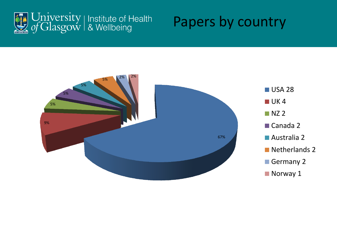

#### Papers by country

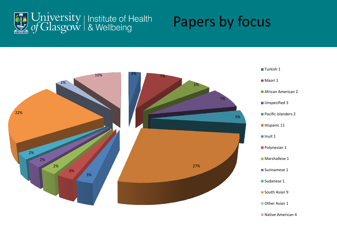

#### Papers by focus

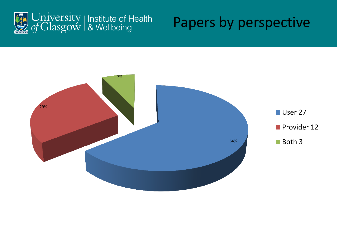

#### Papers by perspective

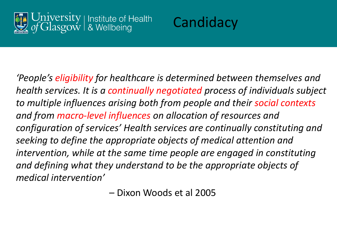



*'People's eligibility for healthcare is determined between themselves and health services. It is a continually negotiated process of individuals subject to multiple influences arising both from people and their social contexts and from macro-level influences on allocation of resources and configuration of services' Health services are continually constituting and seeking to define the appropriate objects of medical attention and intervention, while at the same time people are engaged in constituting and defining what they understand to be the appropriate objects of medical intervention'* 

– Dixon Woods et al 2005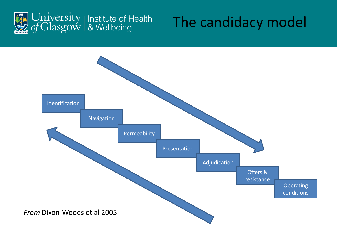

### The candidacy model

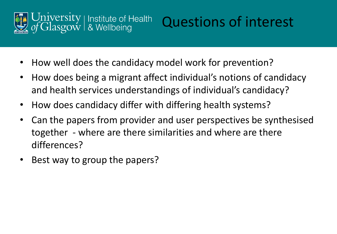

# Questions of interest

- How well does the candidacy model work for prevention?
- How does being a migrant affect individual's notions of candidacy and health services understandings of individual's candidacy?
- How does candidacy differ with differing health systems?
- Can the papers from provider and user perspectives be synthesised together - where are there similarities and where are there differences?
- Best way to group the papers?